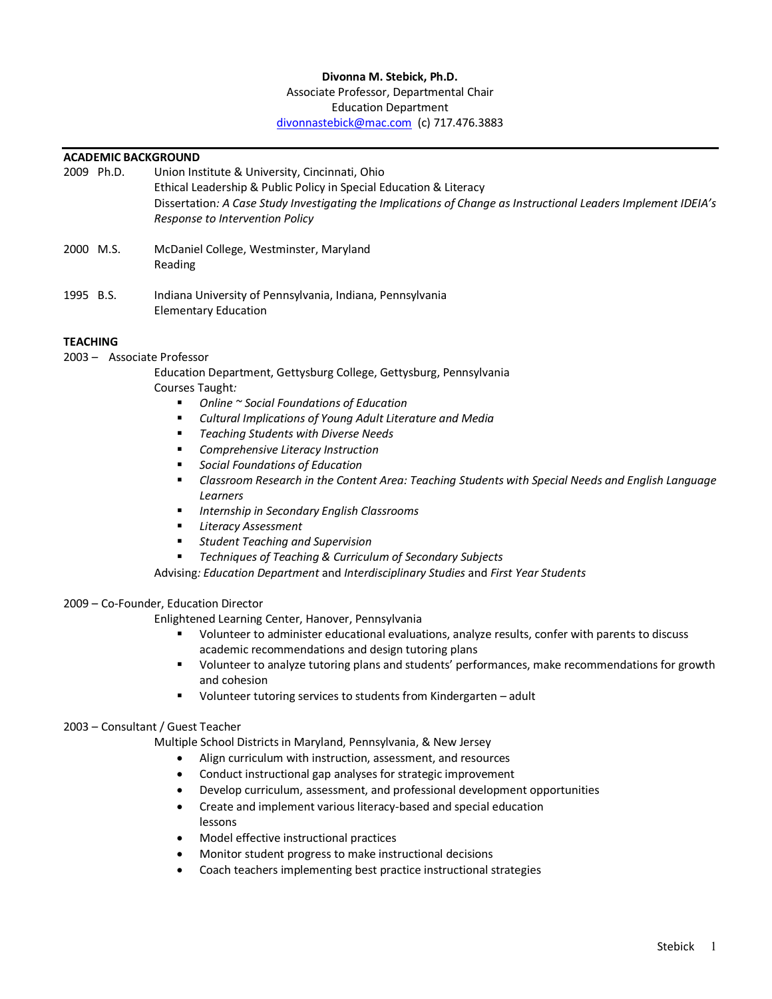## **Divonna M. Stebick, Ph.D.**

#### Associate Professor, Departmental Chair Education Department

divonnastebick@mac.com (c) 717.476.3883

# **ACADEMIC BACKGROUND**<br>2009 Ph.D. Union Ins

- Union Institute & University, Cincinnati, Ohio Ethical Leadership & Public Policy in Special Education & Literacy Dissertation*: A Case Study Investigating the Implications of Change as Instructional Leaders Implement IDEIA's Response to Intervention Policy*
- 2000 M.S. McDaniel College, Westminster, Maryland Reading
- 1995 B.S. Indiana University of Pennsylvania, Indiana, Pennsylvania Elementary Education

# **TEACHING**

2003 – Associate Professor

Education Department, Gettysburg College, Gettysburg, Pennsylvania Courses Taught*:* 

- § *Online ~ Social Foundations of Education*
- § *Cultural Implications of Young Adult Literature and Media*
- § *Teaching Students with Diverse Needs*
- § *Comprehensive Literacy Instruction*
- § *Social Foundations of Education*
- § *Classroom Research in the Content Area: Teaching Students with Special Needs and English Language Learners*
- § *Internship in Secondary English Classrooms*
- § *Literacy Assessment*
- § *Student Teaching and Supervision*
- § *Techniques of Teaching & Curriculum of Secondary Subjects*

Advising*: Education Department* and *Interdisciplinary Studies* and *First Year Students*

# 2009 – Co-Founder, Education Director

Enlightened Learning Center, Hanover, Pennsylvania

- § Volunteer to administer educational evaluations, analyze results, confer with parents to discuss academic recommendations and design tutoring plans
- § Volunteer to analyze tutoring plans and students' performances, make recommendations for growth and cohesion
- Volunteer tutoring services to students from Kindergarten adult

# 2003 – Consultant / Guest Teacher

Multiple School Districts in Maryland, Pennsylvania, & New Jersey

- Align curriculum with instruction, assessment, and resources
- Conduct instructional gap analyses for strategic improvement
- Develop curriculum, assessment, and professional development opportunities
- Create and implement various literacy-based and special education lessons
- Model effective instructional practices
- Monitor student progress to make instructional decisions
- Coach teachers implementing best practice instructional strategies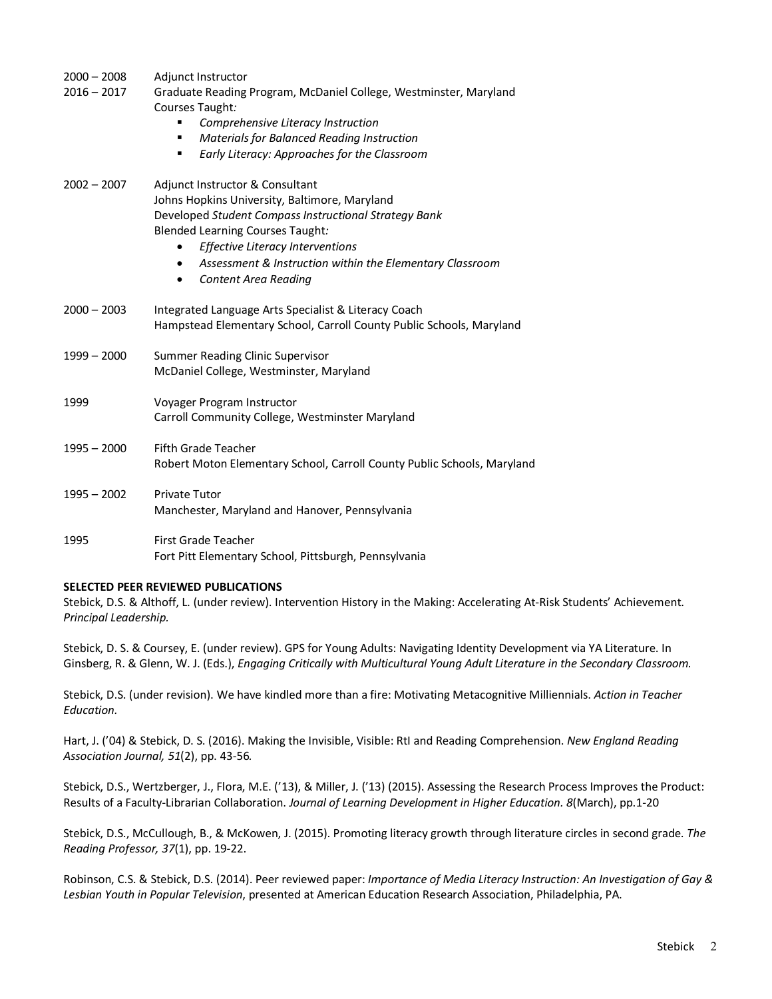| $2000 - 2008$ | Adjunct Instructor                                                                   |
|---------------|--------------------------------------------------------------------------------------|
| $2016 - 2017$ | Graduate Reading Program, McDaniel College, Westminster, Maryland<br>Courses Taught: |
|               | Comprehensive Literacy Instruction<br>п                                              |
|               | Materials for Balanced Reading Instruction<br>٠                                      |
|               | Early Literacy: Approaches for the Classroom<br>٠                                    |
| $2002 - 2007$ | Adjunct Instructor & Consultant                                                      |
|               | Johns Hopkins University, Baltimore, Maryland                                        |
|               | Developed Student Compass Instructional Strategy Bank                                |
|               | <b>Blended Learning Courses Taught:</b>                                              |
|               | Effective Literacy Interventions                                                     |
|               | Assessment & Instruction within the Elementary Classroom<br>$\bullet$                |
|               | <b>Content Area Reading</b><br>٠                                                     |
| $2000 - 2003$ | Integrated Language Arts Specialist & Literacy Coach                                 |
|               | Hampstead Elementary School, Carroll County Public Schools, Maryland                 |
| $1999 - 2000$ | Summer Reading Clinic Supervisor                                                     |
|               | McDaniel College, Westminster, Maryland                                              |
| 1999          | Voyager Program Instructor                                                           |
|               | Carroll Community College, Westminster Maryland                                      |
| $1995 - 2000$ | <b>Fifth Grade Teacher</b>                                                           |
|               | Robert Moton Elementary School, Carroll County Public Schools, Maryland              |
| $1995 - 2002$ | <b>Private Tutor</b>                                                                 |
|               | Manchester, Maryland and Hanover, Pennsylvania                                       |
| 1995          | First Grade Teacher                                                                  |
|               | Fort Pitt Elementary School, Pittsburgh, Pennsylvania                                |

# **SELECTED PEER REVIEWED PUBLICATIONS**

Stebick, D.S. & Althoff, L. (under review). Intervention History in the Making: Accelerating At-Risk Students' Achievement. *Principal Leadership.*

Stebick, D. S. & Coursey, E. (under review). GPS for Young Adults: Navigating Identity Development via YA Literature. In Ginsberg, R. & Glenn, W. J. (Eds.), *Engaging Critically with Multicultural Young Adult Literature in the Secondary Classroom.*

Stebick, D.S. (under revision). We have kindled more than a fire: Motivating Metacognitive Milliennials. *Action in Teacher Education.*

Hart, J. ('04) & Stebick, D. S. (2016). Making the Invisible, Visible: RtI and Reading Comprehension. *New England Reading Association Journal, 51*(2), pp. 43-56*.*

Stebick, D.S., Wertzberger, J., Flora, M.E. ('13), & Miller, J. ('13) (2015). Assessing the Research Process Improves the Product: Results of a Faculty-Librarian Collaboration. *Journal of Learning Development in Higher Education. 8*(March), pp.1-20

Stebick, D.S., McCullough, B., & McKowen, J. (2015). Promoting literacy growth through literature circles in second grade. *The Reading Professor, 37*(1), pp. 19-22.

Robinson, C.S. & Stebick, D.S. (2014). Peer reviewed paper: *Importance of Media Literacy Instruction: An Investigation of Gay & Lesbian Youth in Popular Television*, presented at American Education Research Association, Philadelphia, PA.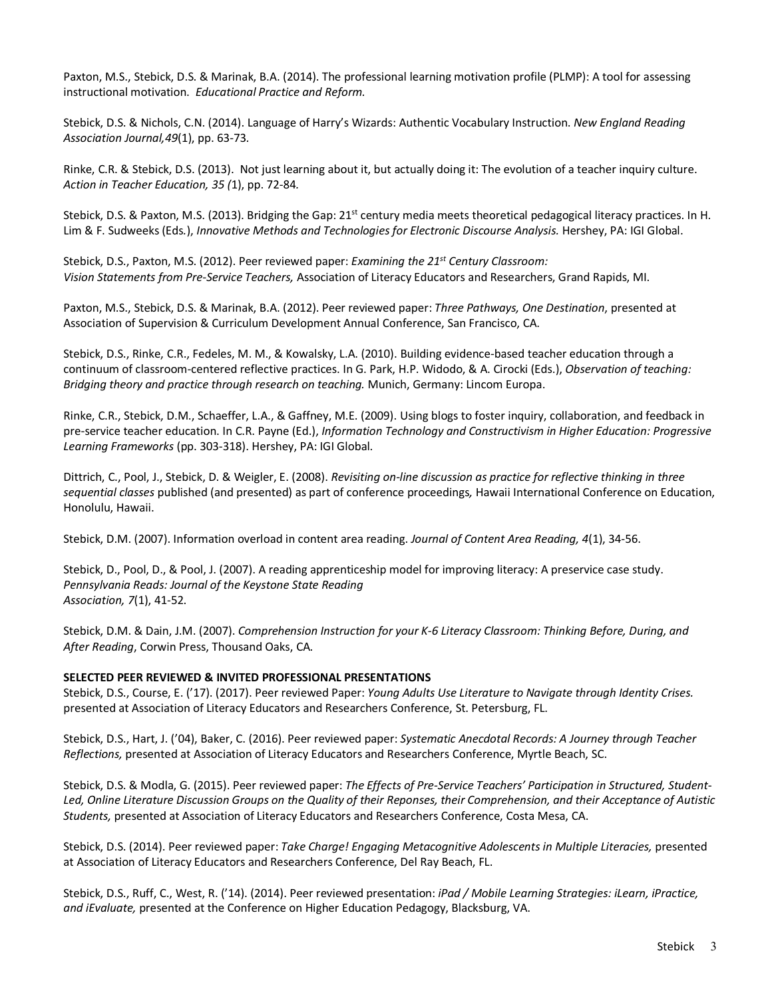Paxton, M.S., Stebick, D.S. & Marinak, B.A. (2014). The professional learning motivation profile (PLMP): A tool for assessing instructional motivation. *Educational Practice and Reform.*

Stebick, D.S. & Nichols, C.N. (2014). Language of Harry's Wizards: Authentic Vocabulary Instruction. *New England Reading Association Journal,49*(1), pp. 63-73*.*

Rinke, C.R. & Stebick, D.S. (2013). Not just learning about it, but actually doing it: The evolution of a teacher inquiry culture. *Action in Teacher Education, 35 (*1), pp. 72-84*.*

Stebick, D.S. & Paxton, M.S. (2013). Bridging the Gap: 21<sup>st</sup> century media meets theoretical pedagogical literacy practices. In H. Lim & F. Sudweeks (Eds*.*), *Innovative Methods and Technologies for Electronic Discourse Analysis.* Hershey, PA: IGI Global.

Stebick, D.S., Paxton, M.S. (2012). Peer reviewed paper: *Examining the 21st Century Classroom: Vision Statements from Pre-Service Teachers,* Association of Literacy Educators and Researchers, Grand Rapids, MI.

Paxton, M.S., Stebick, D.S. & Marinak, B.A. (2012). Peer reviewed paper: *Three Pathways, One Destination*, presented at Association of Supervision & Curriculum Development Annual Conference, San Francisco, CA.

Stebick, D.S., Rinke, C.R., Fedeles, M. M., & Kowalsky, L.A. (2010). Building evidence-based teacher education through a continuum of classroom-centered reflective practices. In G. Park, H.P. Widodo, & A. Cirocki (Eds.), *Observation of teaching: Bridging theory and practice through research on teaching.* Munich, Germany: Lincom Europa.

Rinke, C.R., Stebick, D.M., Schaeffer, L.A., & Gaffney, M.E. (2009). Using blogs to foster inquiry, collaboration, and feedback in pre-service teacher education. In C.R. Payne (Ed.), *Information Technology and Constructivism in Higher Education: Progressive Learning Frameworks* (pp. 303-318). Hershey, PA: IGI Global.

Dittrich, C., Pool, J., Stebick, D. & Weigler, E. (2008). *Revisiting on-line discussion as practice for reflective thinking in three sequential classes* published (and presented) as part of conference proceedings*,* Hawaii International Conference on Education, Honolulu, Hawaii.

Stebick, D.M. (2007). Information overload in content area reading. *Journal of Content Area Reading, 4*(1), 34-56.

Stebick, D., Pool, D., & Pool, J. (2007). A reading apprenticeship model for improving literacy: A preservice case study. *Pennsylvania Reads: Journal of the Keystone State Reading Association, 7*(1), 41-52.

Stebick, D.M. & Dain, J.M. (2007). *Comprehension Instruction for your K-6 Literacy Classroom: Thinking Before, During, and After Reading*, Corwin Press, Thousand Oaks, CA.

#### **SELECTED PEER REVIEWED & INVITED PROFESSIONAL PRESENTATIONS**

Stebick, D.S., Course, E. ('17). (2017). Peer reviewed Paper: *Young Adults Use Literature to Navigate through Identity Crises.*  presented at Association of Literacy Educators and Researchers Conference, St. Petersburg, FL.

Stebick, D.S., Hart, J. ('04), Baker, C. (2016). Peer reviewed paper: *Systematic Anecdotal Records: A Journey through Teacher Reflections,* presented at Association of Literacy Educators and Researchers Conference, Myrtle Beach, SC.

Stebick, D.S. & Modla, G. (2015). Peer reviewed paper: *The Effects of Pre-Service Teachers' Participation in Structured, Student-Led, Online Literature Discussion Groups on the Quality of their Reponses, their Comprehension, and their Acceptance of Autistic Students,* presented at Association of Literacy Educators and Researchers Conference, Costa Mesa, CA.

Stebick, D.S. (2014). Peer reviewed paper: *Take Charge! Engaging Metacognitive Adolescents in Multiple Literacies,* presented at Association of Literacy Educators and Researchers Conference, Del Ray Beach, FL.

Stebick, D.S., Ruff, C., West, R. ('14). (2014). Peer reviewed presentation: *iPad / Mobile Learning Strategies: iLearn, iPractice, and iEvaluate,* presented at the Conference on Higher Education Pedagogy, Blacksburg, VA.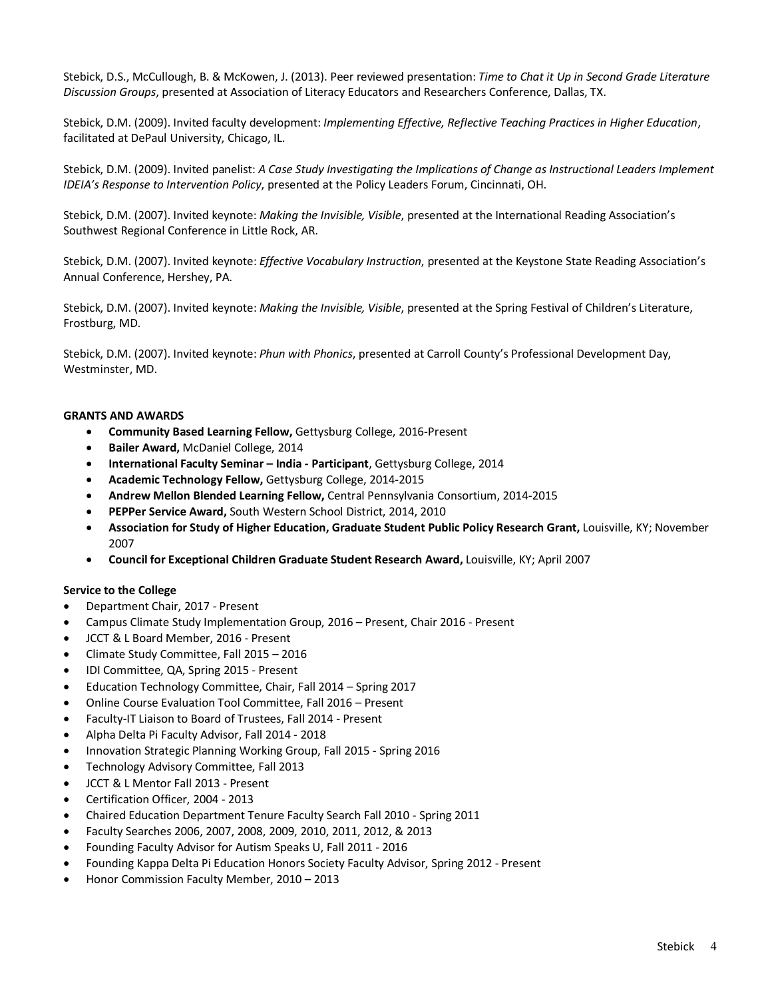Stebick, D.S., McCullough, B. & McKowen, J. (2013). Peer reviewed presentation: *Time to Chat it Up in Second Grade Literature Discussion Groups*, presented at Association of Literacy Educators and Researchers Conference, Dallas, TX.

Stebick, D.M. (2009). Invited faculty development: *Implementing Effective, Reflective Teaching Practices in Higher Education*, facilitated at DePaul University, Chicago, IL.

Stebick, D.M. (2009). Invited panelist: *A Case Study Investigating the Implications of Change as Instructional Leaders Implement IDEIA's Response to Intervention Policy*, presented at the Policy Leaders Forum, Cincinnati, OH.

Stebick, D.M. (2007). Invited keynote: *Making the Invisible, Visible*, presented at the International Reading Association's Southwest Regional Conference in Little Rock, AR.

Stebick, D.M. (2007). Invited keynote: *Effective Vocabulary Instruction*, presented at the Keystone State Reading Association's Annual Conference, Hershey, PA.

Stebick, D.M. (2007). Invited keynote: *Making the Invisible, Visible*, presented at the Spring Festival of Children's Literature, Frostburg, MD.

Stebick, D.M. (2007). Invited keynote: *Phun with Phonics*, presented at Carroll County's Professional Development Day, Westminster, MD.

#### **GRANTS AND AWARDS**

- **Community Based Learning Fellow,** Gettysburg College, 2016-Present
- **Bailer Award,** McDaniel College, 2014
- **International Faculty Seminar – India - Participant**, Gettysburg College, 2014
- **Academic Technology Fellow,** Gettysburg College, 2014-2015
- **Andrew Mellon Blended Learning Fellow,** Central Pennsylvania Consortium, 2014-2015
- **PEPPer Service Award,** South Western School District, 2014, 2010
- **Association for Study of Higher Education, Graduate Student Public Policy Research Grant,** Louisville, KY; November 2007
- **Council for Exceptional Children Graduate Student Research Award,** Louisville, KY; April 2007

#### **Service to the College**

- Department Chair, 2017 Present
- Campus Climate Study Implementation Group, 2016 Present, Chair 2016 Present
- JCCT & L Board Member, 2016 Present
- Climate Study Committee, Fall 2015 2016
- IDI Committee, QA, Spring 2015 Present
- Education Technology Committee, Chair, Fall 2014 Spring 2017
- Online Course Evaluation Tool Committee, Fall 2016 Present
- Faculty-IT Liaison to Board of Trustees, Fall 2014 Present
- Alpha Delta Pi Faculty Advisor, Fall 2014 2018
- Innovation Strategic Planning Working Group, Fall 2015 Spring 2016
- Technology Advisory Committee, Fall 2013
- JCCT & L Mentor Fall 2013 Present
- Certification Officer, 2004 2013
- Chaired Education Department Tenure Faculty Search Fall 2010 Spring 2011
- Faculty Searches 2006, 2007, 2008, 2009, 2010, 2011, 2012, & 2013
- Founding Faculty Advisor for Autism Speaks U, Fall 2011 2016
- Founding Kappa Delta Pi Education Honors Society Faculty Advisor, Spring 2012 Present
- Honor Commission Faculty Member, 2010 2013